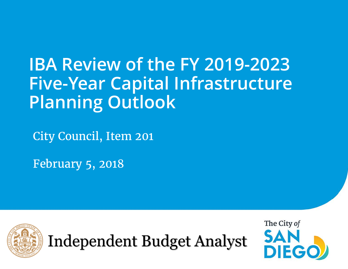# **IBA Review of the FY 2019-2023 Five-Year Capital Infrastructure Planning Outlook**

City Council, Item 201

February 5, 2018



Independent Budget Analyst

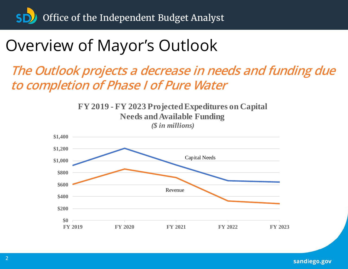# Overview of Mayor's Outlook

### **The Outlook projects a decrease in needs and funding due to completion of Phase I of Pure Water**



sandiego.gov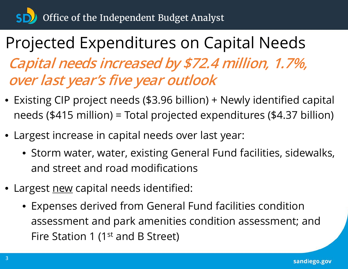# Projected Expenditures on Capital Needs **Capital needs increased by \$72.4 million, 1.7%, over last year's five year outlook**

- Existing CIP project needs (\$3.96 billion) + Newly identified capital needs (\$415 million) = Total projected expenditures (\$4.37 billion)
- Largest increase in capital needs over last year:
	- Storm water, water, existing General Fund facilities, sidewalks, and street and road modifications
- Largest new capital needs identified:
	- Expenses derived from General Fund facilities condition assessment and park amenities condition assessment; and Fire Station 1 (1<sup>st</sup> and B Street)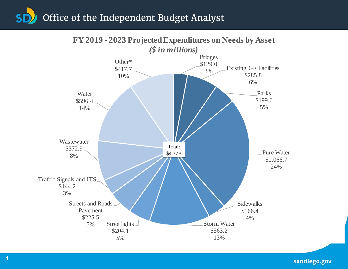

### **FY 2019 - 2023 Projected Expenditures on Needs by Asset**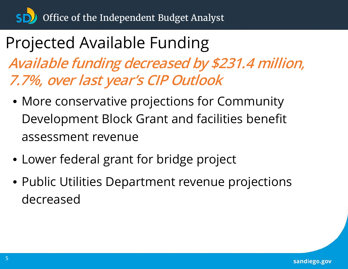# Projected Available Funding **Available funding decreased by \$231.4 million, 7.7%, over last year's CIP Outlook**

- More conservative projections for Community Development Block Grant and facilities benefit assessment revenue
- Lower federal grant for bridge project
- Public Utilities Department revenue projections decreased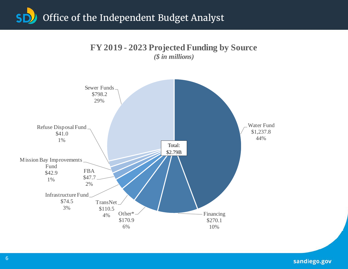

**FY 2019 - 2023 Projected Funding by Source**  *(\$ in millions)*

sandiego.gov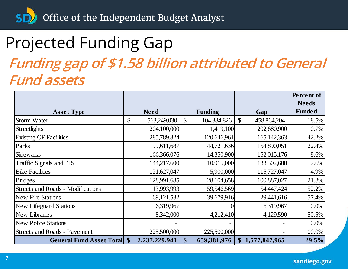SD<sup>3</sup> Office of the Independent Budget Analyst

# Projected Funding Gap

### **Funding gap of \$1.58 billion attributed to General Fund assets**

|                                          |                   |               |                |                   | <b>Percent of</b> |
|------------------------------------------|-------------------|---------------|----------------|-------------------|-------------------|
|                                          |                   |               |                |                   | <b>Needs</b>      |
| <b>Asset Type</b>                        | <b>Need</b>       |               | <b>Funding</b> | Gap               | <b>Funded</b>     |
| <b>Storm Water</b>                       | \$<br>563,249,030 | $\mathcal{S}$ | 104,384,826    | \$<br>458,864,204 | 18.5%             |
| <b>Streetlights</b>                      | 204,100,000       |               | 1,419,100      | 202,680,900       | $0.7\%$           |
| <b>Existing GF Facilities</b>            | 285,789,324       |               | 120,646,961    | 165, 142, 363     | 42.2%             |
| Parks                                    | 199,611,687       |               | 44,721,636     | 154,890,051       | 22.4%             |
| Sidewalks                                | 166,366,076       |               | 14,350,900     | 152,015,176       | 8.6%              |
| Traffic Signals and ITS                  | 144,217,600       |               | 10,915,000     | 133,302,600       | 7.6%              |
| <b>Bike Facilities</b>                   | 121,627,047       |               | 5,900,000      | 115,727,047       | 4.9%              |
| <b>Bridges</b>                           | 128,991,685       |               | 28,104,658     | 100,887,027       | 21.8%             |
| <b>Streets and Roads - Modifications</b> | 113,993,993       |               | 59,546,569     | 54,447,424        | 52.2%             |
| <b>New Fire Stations</b>                 | 69,121,532        |               | 39,679,916     | 29,441,616        | 57.4%             |
| <b>New Lifeguard Stations</b>            | 6,319,967         |               | $\theta$       | 6,319,967         | $0.0\%$           |
| <b>New Libraries</b>                     | 8,342,000         |               | 4,212,410      | 4,129,590         | 50.5%             |
| <b>New Police Stations</b>               |                   |               |                |                   | $0.0\%$           |
| <b>Streets and Roads - Pavement</b>      | 225,500,000       |               | 225,500,000    |                   | 100.0%            |
| <b>General Fund Asset Total \$</b>       | 2,237,229,941     | \$            | 659,381,976    | \$1,577,847,965   | 29.5%             |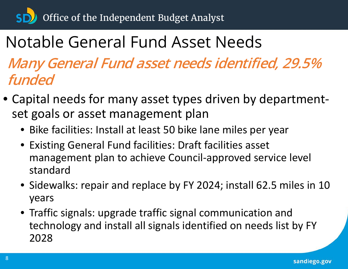# Notable General Fund Asset Needs

**Many General Fund asset needs identified, 29.5% funded** 

- Capital needs for many asset types driven by departmentset goals or asset management plan
	- Bike facilities: Install at least 50 bike lane miles per year
	- Existing General Fund facilities: Draft facilities asset management plan to achieve Council-approved service level standard
	- Sidewalks: repair and replace by FY 2024; install 62.5 miles in 10 years
	- Traffic signals: upgrade traffic signal communication and technology and install all signals identified on needs list by FY 2028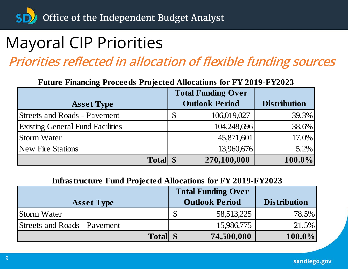# Mayoral CIP Priorities

**Priorities reflected in allocation of flexible funding sources**

**Future Financing Proceeds Projected Allocations for FY 2019-FY2023**

|                                         | <b>Total Funding Over</b> |                     |
|-----------------------------------------|---------------------------|---------------------|
| <b>Asset Type</b>                       | <b>Outlook Period</b>     | <b>Distribution</b> |
| <b>Streets and Roads - Pavement</b>     | 106,019,027<br>S)         | 39.3%               |
| <b>Existing General Fund Facilities</b> | 104,248,696               | 38.6%               |
| <b>Storm Water</b>                      | 45,871,601                | 17.0%               |
| <b>New Fire Stations</b>                | 13,960,676                | $5.2\%$             |
| <b>Total</b>                            | 270,100,000               | $100.0\%$           |

#### **Infrastructure Fund Projected Allocations for FY 2019-FY2023**

|                                     | <b>Total Funding Over</b> |                       |                     |
|-------------------------------------|---------------------------|-----------------------|---------------------|
| <b>Asset Type</b>                   |                           | <b>Outlook Period</b> | <b>Distribution</b> |
| <b>Storm Water</b>                  |                           | 58, 513, 225          | 78.5%               |
| <b>Streets and Roads - Pavement</b> |                           | 15,986,775            | 21.5%               |
| <b>Total</b> \,                     |                           | 74,500,000            | $100.0\%$           |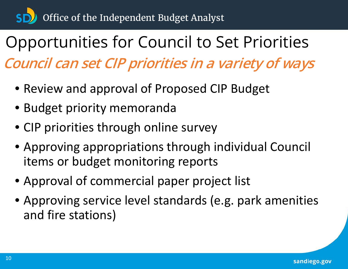# Opportunities for Council to Set Priorities **Council can set CIP priorities in a variety of ways**

- Review and approval of Proposed CIP Budget
- Budget priority memoranda
- CIP priorities through online survey
- Approving appropriations through individual Council items or budget monitoring reports
- Approval of commercial paper project list
- Approving service level standards (e.g. park amenities and fire stations)